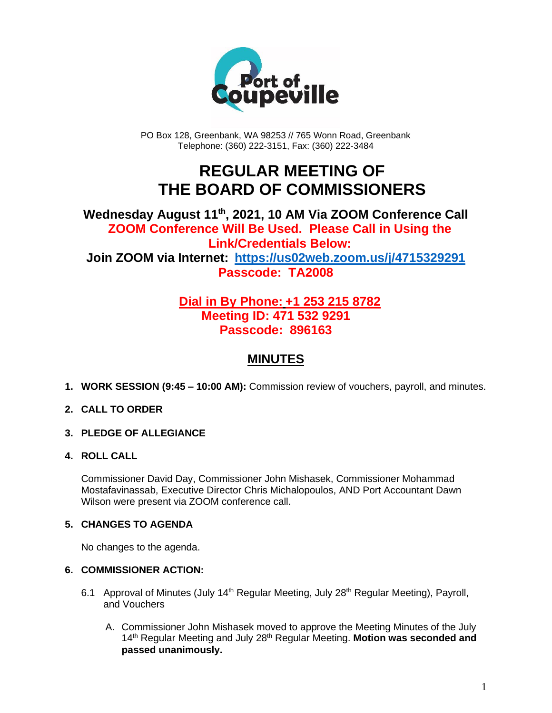

PO Box 128, Greenbank, WA 98253 // 765 Wonn Road, Greenbank Telephone: (360) 222-3151, Fax: (360) 222-3484

# **REGULAR MEETING OF THE BOARD OF COMMISSIONERS**

### **Wednesday August 11 th , 2021, 10 AM Via ZOOM Conference Call ZOOM Conference Will Be Used. Please Call in Using the Link/Credentials Below: Join ZOOM via Internet: <https://us02web.zoom.us/j/4715329291> Passcode: TA2008**

## **Dial in By Phone: +1 253 215 8782 Meeting ID: 471 532 9291 Passcode: 896163**

## **MINUTES**

**1. WORK SESSION (9:45 – 10:00 AM):** Commission review of vouchers, payroll, and minutes.

#### **2. CALL TO ORDER**

**3. PLEDGE OF ALLEGIANCE**

#### **4. ROLL CALL**

Commissioner David Day, Commissioner John Mishasek, Commissioner Mohammad Mostafavinassab, Executive Director Chris Michalopoulos, AND Port Accountant Dawn Wilson were present via ZOOM conference call.

#### **5. CHANGES TO AGENDA**

No changes to the agenda.

#### **6. COMMISSIONER ACTION:**

- 6.1 Approval of Minutes (July 14<sup>th</sup> Regular Meeting, July 28<sup>th</sup> Regular Meeting), Payroll, and Vouchers
	- A. Commissioner John Mishasek moved to approve the Meeting Minutes of the July 14<sup>th</sup> Regular Meeting and July 28<sup>th</sup> Regular Meeting. Motion was seconded and **passed unanimously.**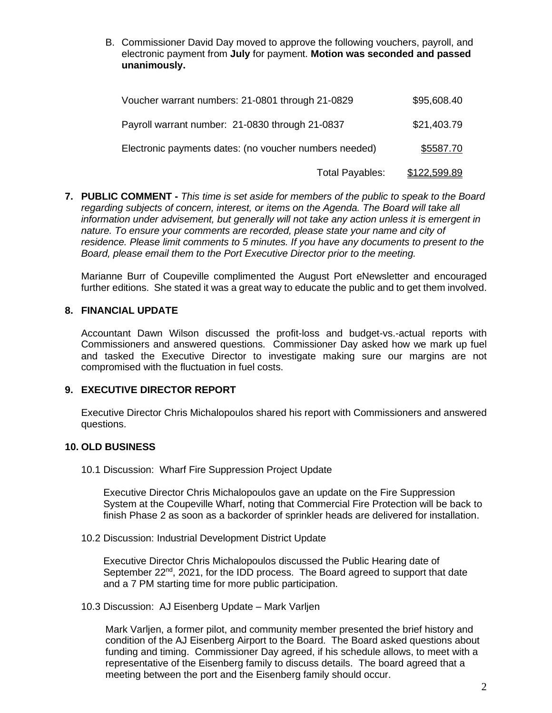B. Commissioner David Day moved to approve the following vouchers, payroll, and electronic payment from **July** for payment. **Motion was seconded and passed unanimously.**

| \$95,608.40  | Voucher warrant numbers: 21-0801 through 21-0829       |
|--------------|--------------------------------------------------------|
| \$21,403.79  | Payroll warrant number: 21-0830 through 21-0837        |
| \$5587.70    | Electronic payments dates: (no voucher numbers needed) |
| \$122,599.89 | Total Payables:                                        |

**7. PUBLIC COMMENT -** *This time is set aside for members of the public to speak to the Board regarding subjects of concern, interest, or items on the Agenda. The Board will take all information under advisement, but generally will not take any action unless it is emergent in nature. To ensure your comments are recorded, please state your name and city of residence. Please limit comments to 5 minutes. If you have any documents to present to the Board, please email them to the Port Executive Director prior to the meeting.*

Marianne Burr of Coupeville complimented the August Port eNewsletter and encouraged further editions. She stated it was a great way to educate the public and to get them involved.

#### **8. FINANCIAL UPDATE**

Accountant Dawn Wilson discussed the profit-loss and budget-vs.-actual reports with Commissioners and answered questions. Commissioner Day asked how we mark up fuel and tasked the Executive Director to investigate making sure our margins are not compromised with the fluctuation in fuel costs.

#### **9. EXECUTIVE DIRECTOR REPORT**

Executive Director Chris Michalopoulos shared his report with Commissioners and answered questions.

#### **10. OLD BUSINESS**

10.1 Discussion: Wharf Fire Suppression Project Update

Executive Director Chris Michalopoulos gave an update on the Fire Suppression System at the Coupeville Wharf, noting that Commercial Fire Protection will be back to finish Phase 2 as soon as a backorder of sprinkler heads are delivered for installation.

10.2 Discussion: Industrial Development District Update

Executive Director Chris Michalopoulos discussed the Public Hearing date of September 22<sup>nd</sup>, 2021, for the IDD process. The Board agreed to support that date and a 7 PM starting time for more public participation.

10.3 Discussion: AJ Eisenberg Update – Mark Varljen

Mark Varljen, a former pilot, and community member presented the brief history and condition of the AJ Eisenberg Airport to the Board. The Board asked questions about funding and timing. Commissioner Day agreed, if his schedule allows, to meet with a representative of the Eisenberg family to discuss details. The board agreed that a meeting between the port and the Eisenberg family should occur.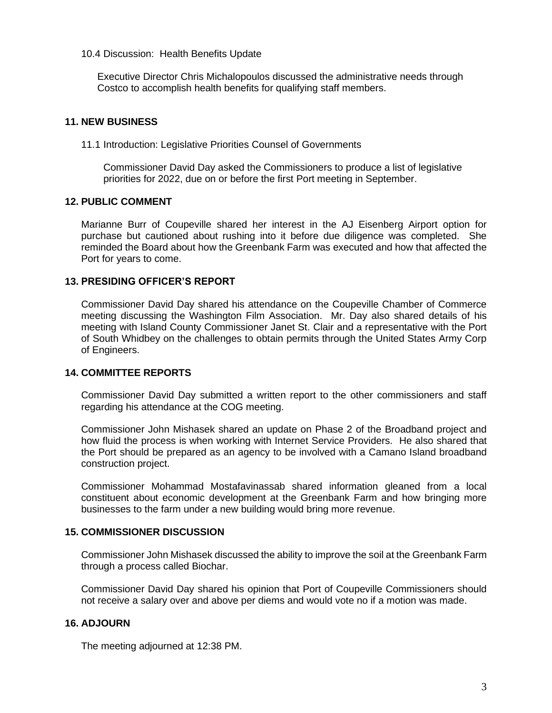#### 10.4 Discussion: Health Benefits Update

Executive Director Chris Michalopoulos discussed the administrative needs through Costco to accomplish health benefits for qualifying staff members.

#### **11. NEW BUSINESS**

11.1 Introduction: Legislative Priorities Counsel of Governments

Commissioner David Day asked the Commissioners to produce a list of legislative priorities for 2022, due on or before the first Port meeting in September.

#### **12. PUBLIC COMMENT**

Marianne Burr of Coupeville shared her interest in the AJ Eisenberg Airport option for purchase but cautioned about rushing into it before due diligence was completed. She reminded the Board about how the Greenbank Farm was executed and how that affected the Port for years to come.

#### **13. PRESIDING OFFICER'S REPORT**

Commissioner David Day shared his attendance on the Coupeville Chamber of Commerce meeting discussing the Washington Film Association. Mr. Day also shared details of his meeting with Island County Commissioner Janet St. Clair and a representative with the Port of South Whidbey on the challenges to obtain permits through the United States Army Corp of Engineers.

#### **14. COMMITTEE REPORTS**

Commissioner David Day submitted a written report to the other commissioners and staff regarding his attendance at the COG meeting.

Commissioner John Mishasek shared an update on Phase 2 of the Broadband project and how fluid the process is when working with Internet Service Providers. He also shared that the Port should be prepared as an agency to be involved with a Camano Island broadband construction project.

Commissioner Mohammad Mostafavinassab shared information gleaned from a local constituent about economic development at the Greenbank Farm and how bringing more businesses to the farm under a new building would bring more revenue.

#### **15. COMMISSIONER DISCUSSION**

Commissioner John Mishasek discussed the ability to improve the soil at the Greenbank Farm through a process called Biochar.

Commissioner David Day shared his opinion that Port of Coupeville Commissioners should not receive a salary over and above per diems and would vote no if a motion was made.

#### **16. ADJOURN**

The meeting adjourned at 12:38 PM.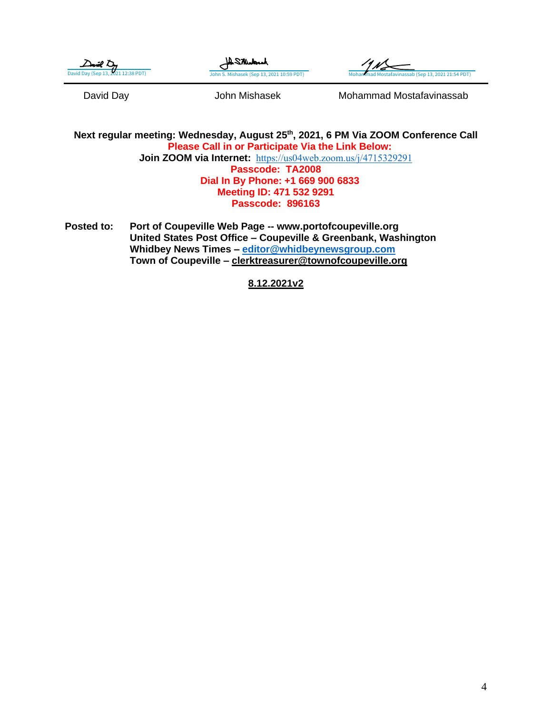| - 100                              |
|------------------------------------|
| David Day (Sep 13, 2021 12:38 PDT) |





David Day **Carry Communist Communist Communist Communist Communist Communist Communist Communist Communist Communist Communist Communist Communist Communist Communist Communist Communist Communist Communist Communist Commu** 

**Next regular meeting: Wednesday, August 25th, 2021, 6 PM Via ZOOM Conference Call Please Call in or Participate Via the Link Below: Join ZOOM via Internet:** <https://us04web.zoom.us/j/4715329291> **Passcode: TA2008 Dial In By Phone: +1 669 900 6833 Meeting ID: 471 532 9291 Passcode: 896163**

**Posted to: Port of Coupeville Web Page -- www.portofcoupeville.org United States Post Office – Coupeville & Greenbank, Washington Whidbey News Times – [editor@whidbeynewsgroup.com](mailto:editor@whidbeynewsgroup.com) Town of Coupeville – [clerktreasurer@townofcoupeville.org](mailto:clerktreasurer@townofcoupeville.org)**

**8.12.2021v2**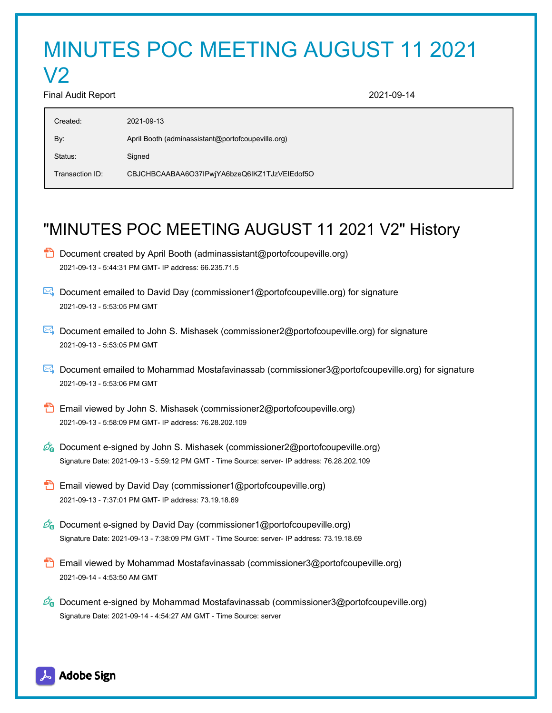# MINUTES POC MEETING AUGUST 11 2021

#### Final Audit Report 2021-09-14

V2

| Created:        | 2021-09-13                                        |
|-----------------|---------------------------------------------------|
| By:             | April Booth (adminassistant@portofcoupeville.org) |
| Status:         | Signed                                            |
| Transaction ID: | CBJCHBCAABAA6O37IPwjYA6bzeQ6IKZ1TJzVEIEdof5O      |
|                 |                                                   |

## "MINUTES POC MEETING AUGUST 11 2021 V2" History

- $\Box$  Document created by April Booth (adminassistant@portofcoupeville.org) 2021-09-13 - 5:44:31 PM GMT- IP address: 66.235.71.5
- Document emailed to David Day (commissioner1@portofcoupeville.org) for signature 2021-09-13 - 5:53:05 PM GMT
- Document emailed to John S. Mishasek (commissioner2@portofcoupeville.org) for signature 2021-09-13 - 5:53:05 PM GMT
- Document emailed to Mohammad Mostafavinassab (commissioner3@portofcoupeville.org) for signature 2021-09-13 - 5:53:06 PM GMT
- **B** Email viewed by John S. Mishasek (commissioner2@portofcoupeville.org) 2021-09-13 - 5:58:09 PM GMT- IP address: 76.28.202.109
- $\mathcal{O}_0$  Document e-signed by John S. Mishasek (commissioner2@portofcoupeville.org) Signature Date: 2021-09-13 - 5:59:12 PM GMT - Time Source: server- IP address: 76.28.202.109
- **Email viewed by David Day (commissioner1@portofcoupeville.org)** 2021-09-13 - 7:37:01 PM GMT- IP address: 73.19.18.69
- $\mathscr{O}_\bullet$  Document e-signed by David Day (commissioner1@portofcoupeville.org) Signature Date: 2021-09-13 - 7:38:09 PM GMT - Time Source: server- IP address: 73.19.18.69
- **Email viewed by Mohammad Mostafavinassab (commissioner3@portofcoupeville.org)** 2021-09-14 - 4:53:50 AM GMT
- $\mathscr{D}_\bullet$  Document e-signed by Mohammad Mostafavinassab (commissioner3@portofcoupeville.org) Signature Date: 2021-09-14 - 4:54:27 AM GMT - Time Source: server